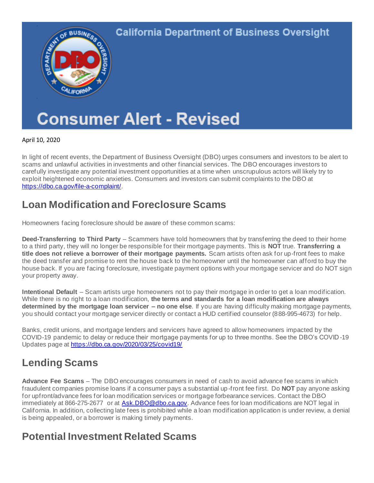

April 10, 2020

In light of recent events, the Department of Business Oversight (DBO) urges consumers and investors to be alert to scams and unlawful activities in investments and other financial services. The DBO encourages investors to carefully investigate any potential investment opportunities at a time when unscrupulous actors will likely try to exploit heightened economic anxieties. Consumers and investors can submit complaints to the DBO at [https://dbo.ca.gov/file-a-complaint/](https://protect-us.mimecast.com/s/6WmeCOYomLsP8DksE1OUa/).

#### **Loan Modification and Foreclosure Scams**

Homeowners facing foreclosure should be aware of these common scams:

**Deed-Transferring to Third Party** – Scammers have told homeowners that by transferring the deed to their home to a third party, they will no longer be responsible for their mortgage payments. This is **NOT** true. **Transferring a title does not relieve a borrower of their mortgage payments.** Scam artists often ask for up-front fees to make the deed transfer and promise to rent the house back to the homeowner until the homeowner can afford to buy the house back. If you are facing foreclosure, investigate payment options with your mortgage servicer and do NOT sign your property away.

**Intentional Default** – Scam artists urge homeowners not to pay their mortgage in order to get a loan modification. While there is no right to a loan modification, **the terms and standards for a loan modification are always determined by the mortgage loan servicer – no one else**. If you are having difficulty making mortgage payments, you should contact your mortgage servicer directly or contact a HUD certified counselor (888-995-4673) for help.

Banks, credit unions, and mortgage lenders and servicers have agreed to allow homeowners impacted by the COVID-19 pandemic to delay or reduce their mortgage payments for up to three months. See the DBO's COVID -19 Updates page at [https://dbo.ca.gov/2020/03/25/covid19/](https://protect-us.mimecast.com/s/WuIVCPNpngHDwBnC09tm-/)

# **Lending Scams**

**Advance Fee Scams** – The DBO encourages consumers in need of cash to avoid advance fee scams in which fraudulent companies promise loans if a consumer pays a substantial up -front fee first. Do **NOT** pay anyone asking for upfront/advance fees for loan modification services or mortgage forbearance services. Contact the DBO immediately at 866-275-2677 or at [Ask.DBO@dbo.ca.gov](mailto:Ask.DBO@dbo.ca.gov). Advance fees for loan modifications are NOT legal in California. In addition, collecting late fees is prohibited while a loan modification application is under review, a denial is being appealed, or a borrower is making timely payments.

### **Potential Investment Related Scams**